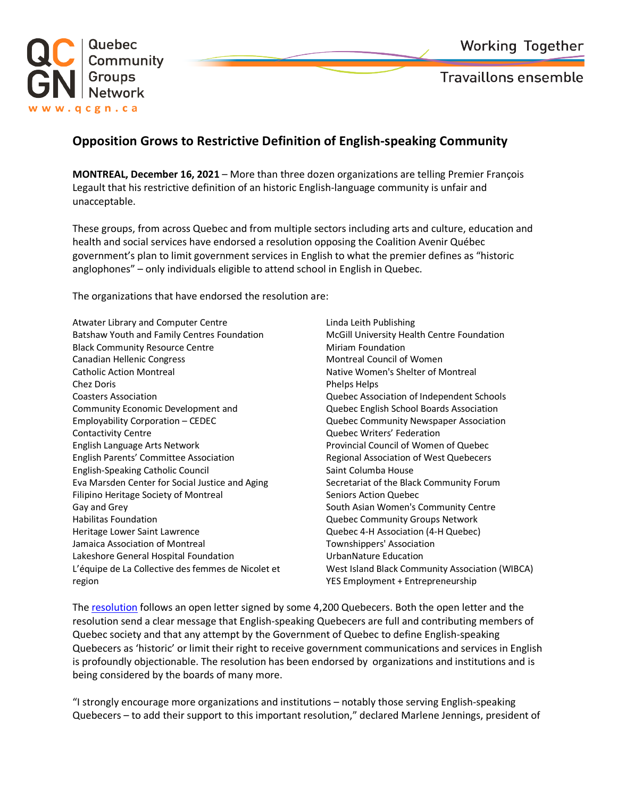



## **Opposition Grows to Restrictive Definition of English-speaking Community**

**MONTREAL, December 16, 2021** – More than three dozen organizations are telling Premier François Legault that his restrictive definition of an historic English-language community is unfair and unacceptable.

These groups, from across Quebec and from multiple sectors including arts and culture, education and health and social services have endorsed a resolution opposing the Coalition Avenir Québec government's plan to limit government services in English to what the premier defines as "historic anglophones" – only individuals eligible to attend school in English in Quebec.

The organizations that have endorsed the resolution are:

Atwater Library and Computer Centre Batshaw Youth and Family Centres Foundation Black Community Resource Centre Canadian Hellenic Congress Catholic Action Montreal Chez Doris Coasters Association Community Economic Development and Employability Corporation – CEDEC Contactivity Centre English Language Arts Network English Parents' Committee Association English-Speaking Catholic Council Eva Marsden Center for Social Justice and Aging Filipino Heritage Society of Montreal Gay and Grey Habilitas Foundation Heritage Lower Saint Lawrence Jamaica Association of Montreal Lakeshore General Hospital Foundation L'équipe de La Collective des femmes de Nicolet et region

Linda Leith Publishing McGill University Health Centre Foundation Miriam Foundation Montreal Council of Women Native Women's Shelter of Montreal Phelps Helps Quebec Association of Independent Schools Quebec English School Boards Association Quebec Community Newspaper Association Quebec Writers' Federation Provincial Council of Women of Quebec Regional Association of West Quebecers Saint Columba House Secretariat of the Black Community Forum Seniors Action Quebec South Asian Women's Community Centre Quebec Community Groups Network Quebec 4-H Association (4-H Quebec) Townshippers' Association UrbanNature Education West Island Black Community Association (WIBCA) YES Employment + Entrepreneurship

The resolution follows an open letter signed by some 4,200 Quebecers. Both the open letter and the resolution send a clear message that English-speaking Quebecers are full and contributing members of Quebec society and that any attempt by the Government of Quebec to define English-speaking Quebecers as 'historic' or limit their right to receive government communications and services in English is profoundly objectionable. The resolution has been endorsed by organizations and institutions and is being considered by the boards of many more.

"I strongly encourage more organizations and institutions – notably those serving English-speaking Quebecers – to add their support to this important resolution," declared Marlene Jennings, president of